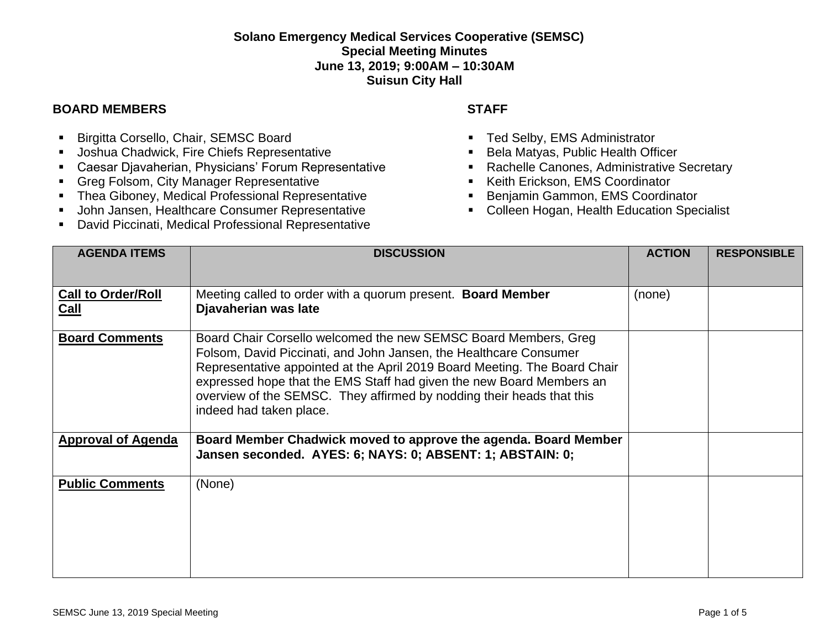## **Solano Emergency Medical Services Cooperative (SEMSC) Special Meeting Minutes June 13, 2019; 9:00AM – 10:30AM Suisun City Hall**

## **BOARD MEMBERS STAFF**

- **E** Birgitta Corsello, Chair, SEMSC Board
- Joshua Chadwick, Fire Chiefs Representative
- Caesar Djavaherian, Physicians' Forum Representative
- Greg Folsom, City Manager Representative
- Thea Giboney, Medical Professional Representative
- **■** John Jansen, Healthcare Consumer Representative
- David Piccinati, Medical Professional Representative

- Ted Selby, EMS Administrator
- Bela Matyas, Public Health Officer
- Rachelle Canones, Administrative Secretary
- Keith Erickson, EMS Coordinator
- Benjamin Gammon, EMS Coordinator
- Colleen Hogan, Health Education Specialist

| <b>AGENDA ITEMS</b>                      | <b>DISCUSSION</b>                                                                                                                                                                                                                                                                                                                                                                             | <b>ACTION</b> | <b>RESPONSIBLE</b> |
|------------------------------------------|-----------------------------------------------------------------------------------------------------------------------------------------------------------------------------------------------------------------------------------------------------------------------------------------------------------------------------------------------------------------------------------------------|---------------|--------------------|
| <b>Call to Order/Roll</b><br><b>Call</b> | Meeting called to order with a quorum present. Board Member<br>Djavaherian was late                                                                                                                                                                                                                                                                                                           | (none)        |                    |
| <b>Board Comments</b>                    | Board Chair Corsello welcomed the new SEMSC Board Members, Greg<br>Folsom, David Piccinati, and John Jansen, the Healthcare Consumer<br>Representative appointed at the April 2019 Board Meeting. The Board Chair<br>expressed hope that the EMS Staff had given the new Board Members an<br>overview of the SEMSC. They affirmed by nodding their heads that this<br>indeed had taken place. |               |                    |
| <b>Approval of Agenda</b>                | Board Member Chadwick moved to approve the agenda. Board Member<br>Jansen seconded. AYES: 6; NAYS: 0; ABSENT: 1; ABSTAIN: 0;                                                                                                                                                                                                                                                                  |               |                    |
| <b>Public Comments</b>                   | (None)                                                                                                                                                                                                                                                                                                                                                                                        |               |                    |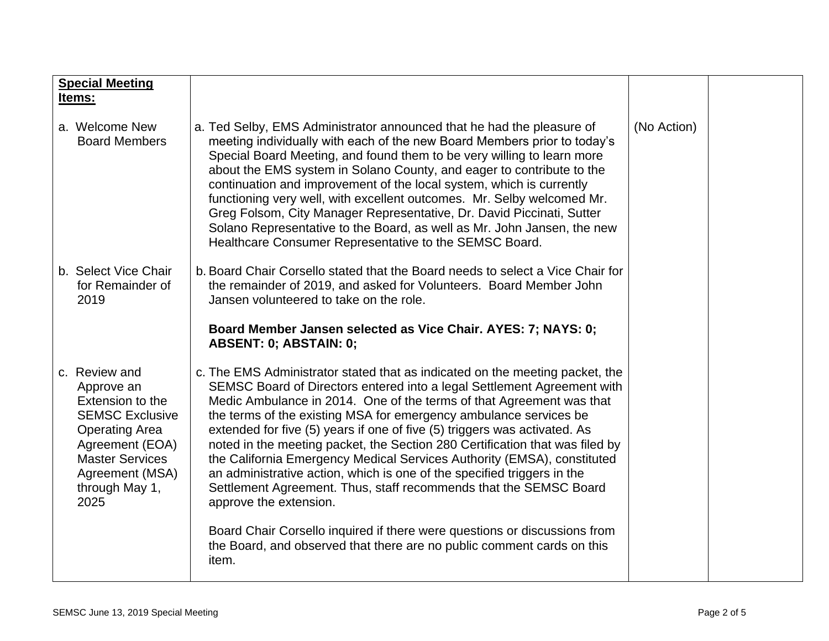| <b>Special Meeting</b><br>Items:                                                                                                                                                             |                                                                                                                                                                                                                                                                                                                                                                                                                                                                                                                                                                                                                                                                                                                        |             |  |
|----------------------------------------------------------------------------------------------------------------------------------------------------------------------------------------------|------------------------------------------------------------------------------------------------------------------------------------------------------------------------------------------------------------------------------------------------------------------------------------------------------------------------------------------------------------------------------------------------------------------------------------------------------------------------------------------------------------------------------------------------------------------------------------------------------------------------------------------------------------------------------------------------------------------------|-------------|--|
| a. Welcome New<br><b>Board Members</b>                                                                                                                                                       | a. Ted Selby, EMS Administrator announced that he had the pleasure of<br>meeting individually with each of the new Board Members prior to today's<br>Special Board Meeting, and found them to be very willing to learn more<br>about the EMS system in Solano County, and eager to contribute to the<br>continuation and improvement of the local system, which is currently<br>functioning very well, with excellent outcomes. Mr. Selby welcomed Mr.<br>Greg Folsom, City Manager Representative, Dr. David Piccinati, Sutter<br>Solano Representative to the Board, as well as Mr. John Jansen, the new<br>Healthcare Consumer Representative to the SEMSC Board.                                                   | (No Action) |  |
| b. Select Vice Chair<br>for Remainder of<br>2019                                                                                                                                             | b. Board Chair Corsello stated that the Board needs to select a Vice Chair for<br>the remainder of 2019, and asked for Volunteers. Board Member John<br>Jansen volunteered to take on the role.                                                                                                                                                                                                                                                                                                                                                                                                                                                                                                                        |             |  |
|                                                                                                                                                                                              | Board Member Jansen selected as Vice Chair. AYES: 7; NAYS: 0;<br>ABSENT: 0; ABSTAIN: 0;                                                                                                                                                                                                                                                                                                                                                                                                                                                                                                                                                                                                                                |             |  |
| c. Review and<br>Approve an<br>Extension to the<br><b>SEMSC Exclusive</b><br><b>Operating Area</b><br>Agreement (EOA)<br><b>Master Services</b><br>Agreement (MSA)<br>through May 1,<br>2025 | c. The EMS Administrator stated that as indicated on the meeting packet, the<br>SEMSC Board of Directors entered into a legal Settlement Agreement with<br>Medic Ambulance in 2014. One of the terms of that Agreement was that<br>the terms of the existing MSA for emergency ambulance services be<br>extended for five (5) years if one of five (5) triggers was activated. As<br>noted in the meeting packet, the Section 280 Certification that was filed by<br>the California Emergency Medical Services Authority (EMSA), constituted<br>an administrative action, which is one of the specified triggers in the<br>Settlement Agreement. Thus, staff recommends that the SEMSC Board<br>approve the extension. |             |  |
|                                                                                                                                                                                              | Board Chair Corsello inquired if there were questions or discussions from<br>the Board, and observed that there are no public comment cards on this<br>item.                                                                                                                                                                                                                                                                                                                                                                                                                                                                                                                                                           |             |  |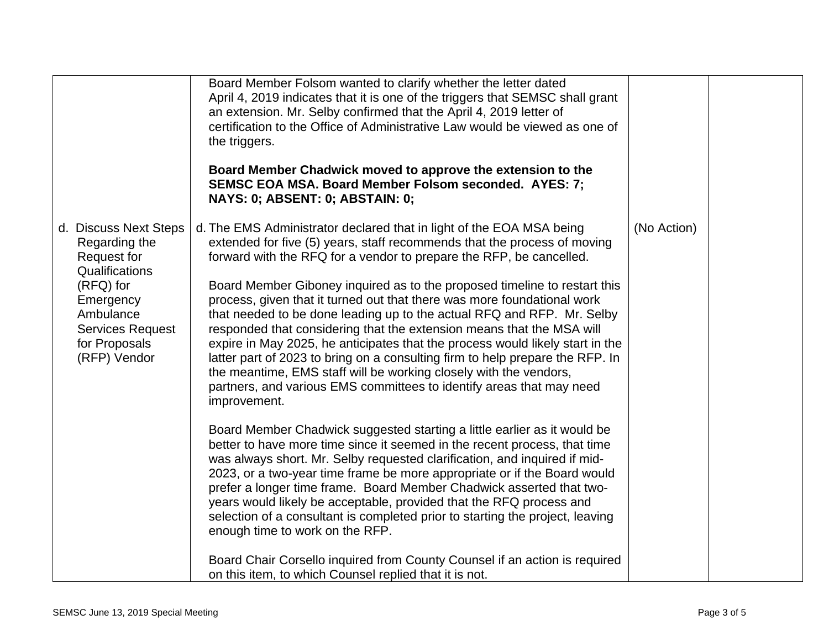|                                                                                                                                                                            | Board Member Folsom wanted to clarify whether the letter dated<br>April 4, 2019 indicates that it is one of the triggers that SEMSC shall grant<br>an extension. Mr. Selby confirmed that the April 4, 2019 letter of<br>certification to the Office of Administrative Law would be viewed as one of<br>the triggers.<br>Board Member Chadwick moved to approve the extension to the<br><b>SEMSC EOA MSA. Board Member Folsom seconded. AYES: 7;</b><br>NAYS: 0; ABSENT: 0; ABSTAIN: 0;                                                                                                                                                                                                                                                                                                                                                                                                                                                                                                                                                                                                                                                                                                                                                                                                                                                                                                                                                                                                                                              |             |  |
|----------------------------------------------------------------------------------------------------------------------------------------------------------------------------|--------------------------------------------------------------------------------------------------------------------------------------------------------------------------------------------------------------------------------------------------------------------------------------------------------------------------------------------------------------------------------------------------------------------------------------------------------------------------------------------------------------------------------------------------------------------------------------------------------------------------------------------------------------------------------------------------------------------------------------------------------------------------------------------------------------------------------------------------------------------------------------------------------------------------------------------------------------------------------------------------------------------------------------------------------------------------------------------------------------------------------------------------------------------------------------------------------------------------------------------------------------------------------------------------------------------------------------------------------------------------------------------------------------------------------------------------------------------------------------------------------------------------------------|-------------|--|
| d. Discuss Next Steps<br>Regarding the<br>Request for<br>Qualifications<br>(RFQ) for<br>Emergency<br>Ambulance<br><b>Services Request</b><br>for Proposals<br>(RFP) Vendor | d. The EMS Administrator declared that in light of the EOA MSA being<br>extended for five (5) years, staff recommends that the process of moving<br>forward with the RFQ for a vendor to prepare the RFP, be cancelled.<br>Board Member Giboney inquired as to the proposed timeline to restart this<br>process, given that it turned out that there was more foundational work<br>that needed to be done leading up to the actual RFQ and RFP. Mr. Selby<br>responded that considering that the extension means that the MSA will<br>expire in May 2025, he anticipates that the process would likely start in the<br>latter part of 2023 to bring on a consulting firm to help prepare the RFP. In<br>the meantime, EMS staff will be working closely with the vendors,<br>partners, and various EMS committees to identify areas that may need<br>improvement.<br>Board Member Chadwick suggested starting a little earlier as it would be<br>better to have more time since it seemed in the recent process, that time<br>was always short. Mr. Selby requested clarification, and inquired if mid-<br>2023, or a two-year time frame be more appropriate or if the Board would<br>prefer a longer time frame. Board Member Chadwick asserted that two-<br>years would likely be acceptable, provided that the RFQ process and<br>selection of a consultant is completed prior to starting the project, leaving<br>enough time to work on the RFP.<br>Board Chair Corsello inquired from County Counsel if an action is required | (No Action) |  |
|                                                                                                                                                                            | on this item, to which Counsel replied that it is not.                                                                                                                                                                                                                                                                                                                                                                                                                                                                                                                                                                                                                                                                                                                                                                                                                                                                                                                                                                                                                                                                                                                                                                                                                                                                                                                                                                                                                                                                               |             |  |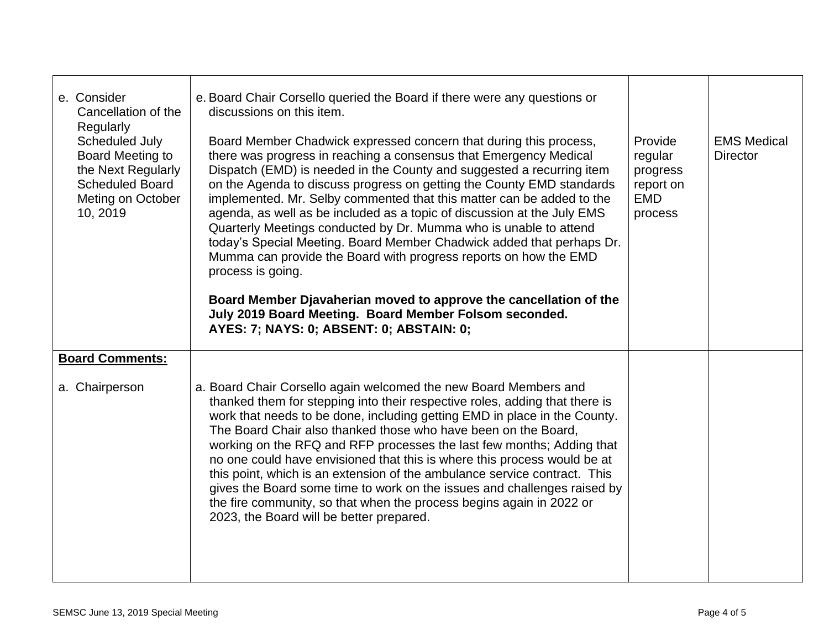| e. Consider<br>Cancellation of the<br>Regularly<br>Scheduled July<br>Board Meeting to<br>the Next Regularly<br><b>Scheduled Board</b><br>Meting on October<br>10, 2019 | e. Board Chair Corsello queried the Board if there were any questions or<br>discussions on this item.<br>Board Member Chadwick expressed concern that during this process,<br>there was progress in reaching a consensus that Emergency Medical<br>Dispatch (EMD) is needed in the County and suggested a recurring item<br>on the Agenda to discuss progress on getting the County EMD standards<br>implemented. Mr. Selby commented that this matter can be added to the<br>agenda, as well as be included as a topic of discussion at the July EMS<br>Quarterly Meetings conducted by Dr. Mumma who is unable to attend<br>today's Special Meeting. Board Member Chadwick added that perhaps Dr.<br>Mumma can provide the Board with progress reports on how the EMD<br>process is going.<br>Board Member Djavaherian moved to approve the cancellation of the<br>July 2019 Board Meeting. Board Member Folsom seconded.<br>AYES: 7; NAYS: 0; ABSENT: 0; ABSTAIN: 0; | Provide<br>regular<br>progress<br>report on<br>EMD<br>process | <b>EMS Medical</b><br><b>Director</b> |
|------------------------------------------------------------------------------------------------------------------------------------------------------------------------|-------------------------------------------------------------------------------------------------------------------------------------------------------------------------------------------------------------------------------------------------------------------------------------------------------------------------------------------------------------------------------------------------------------------------------------------------------------------------------------------------------------------------------------------------------------------------------------------------------------------------------------------------------------------------------------------------------------------------------------------------------------------------------------------------------------------------------------------------------------------------------------------------------------------------------------------------------------------------|---------------------------------------------------------------|---------------------------------------|
| <b>Board Comments:</b><br>a. Chairperson                                                                                                                               | a. Board Chair Corsello again welcomed the new Board Members and<br>thanked them for stepping into their respective roles, adding that there is<br>work that needs to be done, including getting EMD in place in the County.<br>The Board Chair also thanked those who have been on the Board,<br>working on the RFQ and RFP processes the last few months; Adding that<br>no one could have envisioned that this is where this process would be at<br>this point, which is an extension of the ambulance service contract. This<br>gives the Board some time to work on the issues and challenges raised by<br>the fire community, so that when the process begins again in 2022 or<br>2023, the Board will be better prepared.                                                                                                                                                                                                                                        |                                                               |                                       |